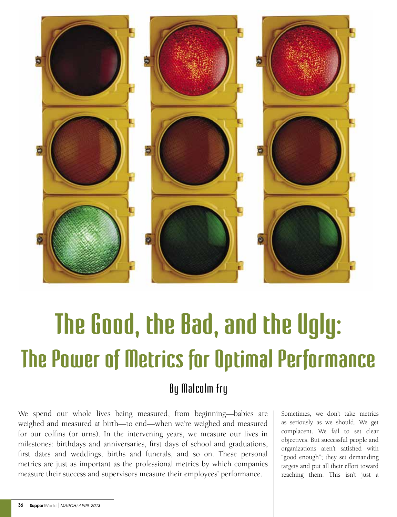

# **The Good, the Bad, and the Ugly: The Power of Metrics for Optimal Performance**

# By Malcolm Fry

We spend our whole lives being measured, from beginning—babies are weighed and measured at birth—to end—when we're weighed and measured for our coffins (or urns). In the intervening years, we measure our lives in milestones: birthdays and anniversaries, first days of school and graduations, first dates and weddings, births and funerals, and so on. These personal metrics are just as important as the professional metrics by which companies measure their success and supervisors measure their employees' performance.

Sometimes, we don't take metrics as seriously as we should. We get complacent. We fail to set clear objectives. But successful people and organizations aren't satisfied with "good enough"; they set demanding targets and put all their effort toward reaching them. This isn't just a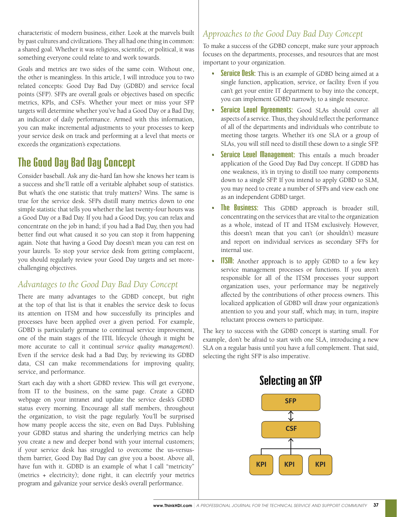characteristic of modern business, either. Look at the marvels built by past cultures and civilizations. They all had one thing in common: a shared goal. Whether it was religious, scientific, or political, it was something everyone could relate to and work towards.

Goals and metrics are two sides of the same coin. Without one, the other is meaningless. In this article, I will introduce you to two related concepts: Good Day Bad Day (GDBD) and service focal points (SFP). SFPs are overall goals or objectives based on specific metrics, KPIs, and CSFs. Whether your meet or miss your SFP targets will determine whether you've had a Good Day or a Bad Day, an indicator of daily performance. Armed with this information, you can make incremental adjustments to your processes to keep your service desk on track and performing at a level that meets or exceeds the organization's expectations.

## **The Good Day Bad Day Concept**

Consider baseball. Ask any die-hard fan how she knows her team is a success and she'll rattle off a veritable alphabet soup of statistics. But what's the one statistic that truly matters? Wins. The same is true for the service desk. SFPs distill many metrics down to one simple statistic that tells you whether the last twenty-four hours was a Good Day or a Bad Day. If you had a Good Day, you can relax and concentrate on the job in hand; if you had a Bad Day, then you had better find out what caused it so you can stop it from happening again. Note that having a Good Day doesn't mean you can rest on your laurels. To stop your service desk from getting complacent, you should regularly review your Good Day targets and set morechallenging objectives.

### *Advantages to the Good Day Bad Day Concept*

There are many advantages to the GDBD concept, but right at the top of that list is that it enables the service desk to focus its attention on ITSM and how successfully its principles and processes have been applied over a given period. For example, GDBD is particularly germane to continual service improvement, one of the main stages of the ITIL lifecycle (though it might be more accurate to call it continual *service quality management*). Even if the service desk had a Bad Day, by reviewing its GDBD data, CSI can make recommendations for improving quality, service, and performance.

Start each day with a short GDBD review. This will get everyone, from IT to the business, on the same page. Create a GDBD webpage on your intranet and update the service desk's GDBD status every morning. Encourage all staff members, throughout the organization, to visit the page regularly. You'll be surprised how many people access the site, even on Bad Days. Publishing your GDBD status and sharing the underlying metrics can help you create a new and deeper bond with your internal customers; if your service desk has struggled to overcome the us-versusthem barrier, Good Day Bad Day can give you a boost. Above all, have fun with it. GDBD is an example of what I call "metricity" (metrics + electricity); done right, it can electrify your metrics program and galvanize your service desk's overall performance.

### *Approaches to the Good Day Bad Day Concept*

To make a success of the GDBD concept, make sure your approach focuses on the departments, processes, and resources that are most important to your organization.

- **Service Desk:** This is an example of GDBD being aimed at a single function, application, service, or facility. Even if you can't get your entire IT department to buy into the concept, you can implement GDBD narrowly, to a single resource.
- **• Service Level Agreements:** Good SLAs should cover all aspects of a service. Thus, they should reflect the performance of all of the departments and individuals who contribute to meeting those targets. Whether it's one SLA or a group of SLAs, you will still need to distill these down to a single SFP.
- **• Service Level Management:** This entails a much broader application of the Good Day Bad Day concept. If GDBD has one weakness, it's in trying to distill too many components down to a single SFP. If you intend to apply GDBD to SLM, you may need to create a number of SFPs and view each one as an independent GDBD target.
- **The Business:** This GDBD approach is broader still, concentrating on the services that are vital to the organization as a whole, instead of IT and ITSM exclusively. However, this doesn't mean that you can't (or shouldn't) measure and report on individual services as secondary SFPs for internal use.
- **ITSIII:** Another approach is to apply GDBD to a few key service management processes or functions. If you aren't responsible for all of the ITSM processes your support organization uses, your performance may be negatively affected by the contributions of other process owners. This localized application of GDBD will draw your organization's attention to you and your staff, which may, in turn, inspire reluctant process owners to participate.

The key to success with the GDBD concept is starting small. For example, don't be afraid to start with one SLA, introducing a new SLA on a regular basis until you have a full complement. That said, selecting the right SFP is also imperative.



**KPIs**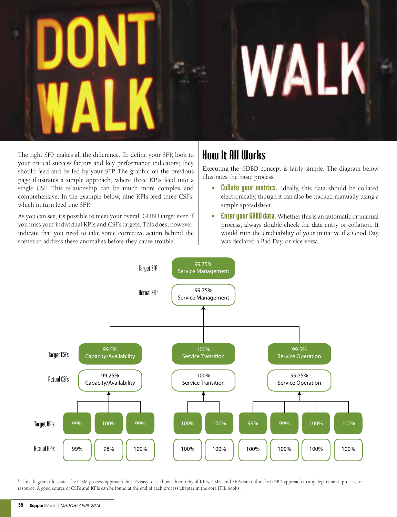# WALK

The right SFP makes all the difference. To define your SFP, look to your critical success factors and key performance indicators; they should feed and be fed by your SFP. The graphic on the previous page illustrates a simple approach, where three KPIs feed into a single CSF. This relationship can be much more complex and comprehensive. In the example below, nine KPIs feed three CSFs, which in turn feed one  $SFP<sup>1</sup>$ 

As you can see, it's possible to meet your overall GDBD target even if you miss your individual KPIs and CSFs targets. This does, however, indicate that you need to take some corrective action behind the scenes to address these anomalies before they cause trouble.

# **How It All Works**

Executing the GDBD concept is fairly simple. The diagram below illustrates the basic process.

- **• Collate your metrics.** Ideally, this data should be collated electronically, though it can also be tracked manually using a simple spreadsheet.
- **• Enter your GDBD data.** Whether this is an automatic or manual process, always double check the data entry or collation. It would ruin the creditability of your initiative if a Good Day was declared a Bad Day, or vice versa.



 $^{\rm 1}$  This diagram illustrates the ITSM process approach, but it's easy to see how a hierarchy of KPIs, CSFs, and SFPs can tailor the GDBD approach to any department, process, or resource. A good source of CSFs and KPIs can be found at the end of each process chapter in the core ITIL books.